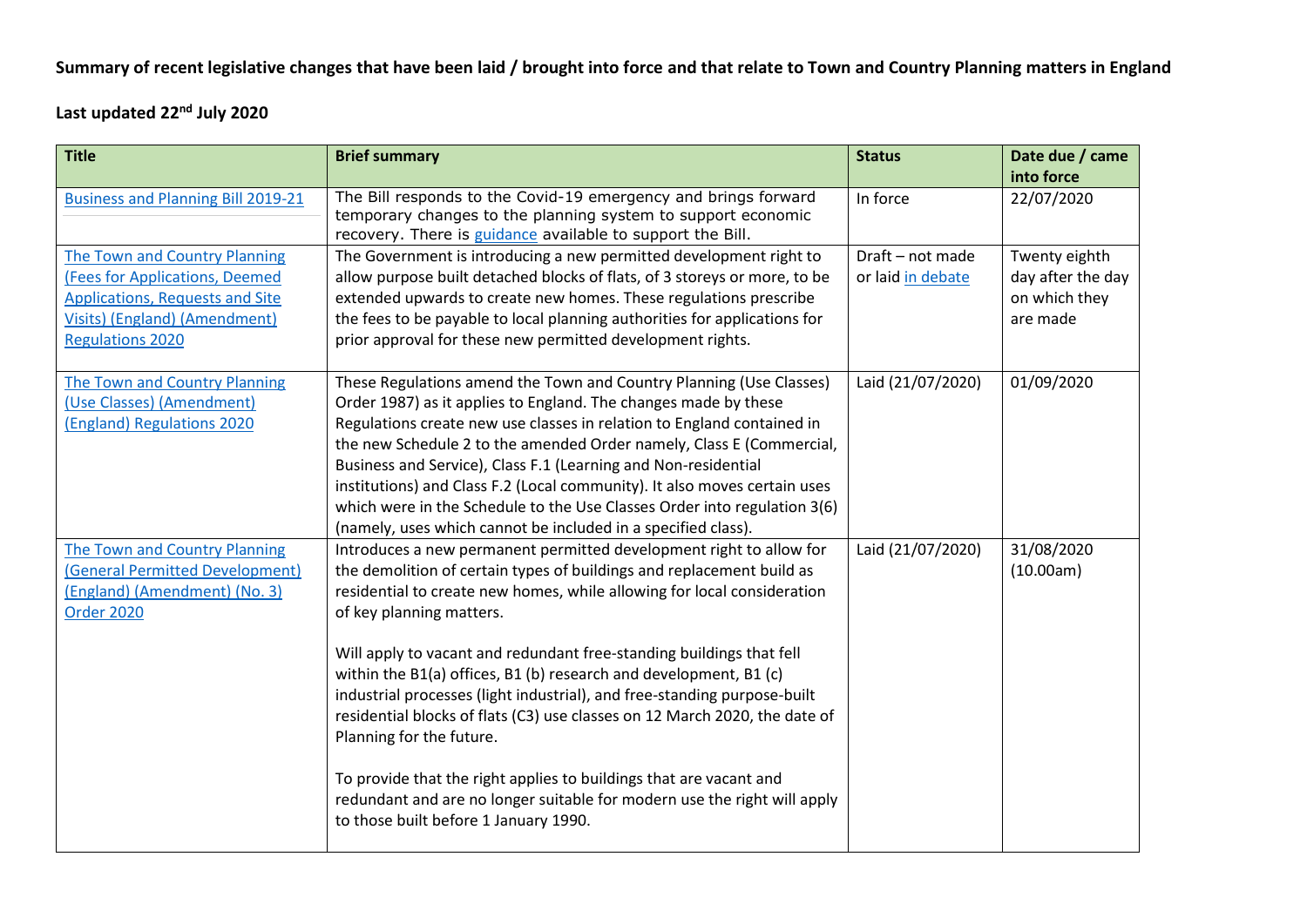## **Summary of recent legislative changes that have been laid / brought into force and that relate to Town and Country Planning matters in England**

**Last updated 22nd July 2020**

| <b>Title</b>                                                                                                                                                          | <b>Brief summary</b>                                                                                                                                                                                                                                                                                                                                                                                                                                                                                                                                                                                                                                                                                                                                                              | <b>Status</b>                         | Date due / came<br>into force                                   |
|-----------------------------------------------------------------------------------------------------------------------------------------------------------------------|-----------------------------------------------------------------------------------------------------------------------------------------------------------------------------------------------------------------------------------------------------------------------------------------------------------------------------------------------------------------------------------------------------------------------------------------------------------------------------------------------------------------------------------------------------------------------------------------------------------------------------------------------------------------------------------------------------------------------------------------------------------------------------------|---------------------------------------|-----------------------------------------------------------------|
| <b>Business and Planning Bill 2019-21</b>                                                                                                                             | The Bill responds to the Covid-19 emergency and brings forward<br>temporary changes to the planning system to support economic<br>recovery. There is guidance available to support the Bill.                                                                                                                                                                                                                                                                                                                                                                                                                                                                                                                                                                                      | In force                              | 22/07/2020                                                      |
| The Town and Country Planning<br>(Fees for Applications, Deemed<br><b>Applications, Requests and Site</b><br>Visits) (England) (Amendment)<br><b>Regulations 2020</b> | The Government is introducing a new permitted development right to<br>allow purpose built detached blocks of flats, of 3 storeys or more, to be<br>extended upwards to create new homes. These regulations prescribe<br>the fees to be payable to local planning authorities for applications for<br>prior approval for these new permitted development rights.                                                                                                                                                                                                                                                                                                                                                                                                                   | Draft - not made<br>or laid in debate | Twenty eighth<br>day after the day<br>on which they<br>are made |
| <b>The Town and Country Planning</b><br>(Use Classes) (Amendment)<br>(England) Regulations 2020                                                                       | These Regulations amend the Town and Country Planning (Use Classes)<br>Order 1987) as it applies to England. The changes made by these<br>Regulations create new use classes in relation to England contained in<br>the new Schedule 2 to the amended Order namely, Class E (Commercial,<br>Business and Service), Class F.1 (Learning and Non-residential<br>institutions) and Class F.2 (Local community). It also moves certain uses<br>which were in the Schedule to the Use Classes Order into regulation 3(6)<br>(namely, uses which cannot be included in a specified class).                                                                                                                                                                                              | Laid (21/07/2020)                     | 01/09/2020                                                      |
| The Town and Country Planning<br>(General Permitted Development)<br>(England) (Amendment) (No. 3)<br><b>Order 2020</b>                                                | Introduces a new permanent permitted development right to allow for<br>the demolition of certain types of buildings and replacement build as<br>residential to create new homes, while allowing for local consideration<br>of key planning matters.<br>Will apply to vacant and redundant free-standing buildings that fell<br>within the B1(a) offices, B1 (b) research and development, B1 (c)<br>industrial processes (light industrial), and free-standing purpose-built<br>residential blocks of flats (C3) use classes on 12 March 2020, the date of<br>Planning for the future.<br>To provide that the right applies to buildings that are vacant and<br>redundant and are no longer suitable for modern use the right will apply<br>to those built before 1 January 1990. | Laid (21/07/2020)                     | 31/08/2020<br>(10.00am)                                         |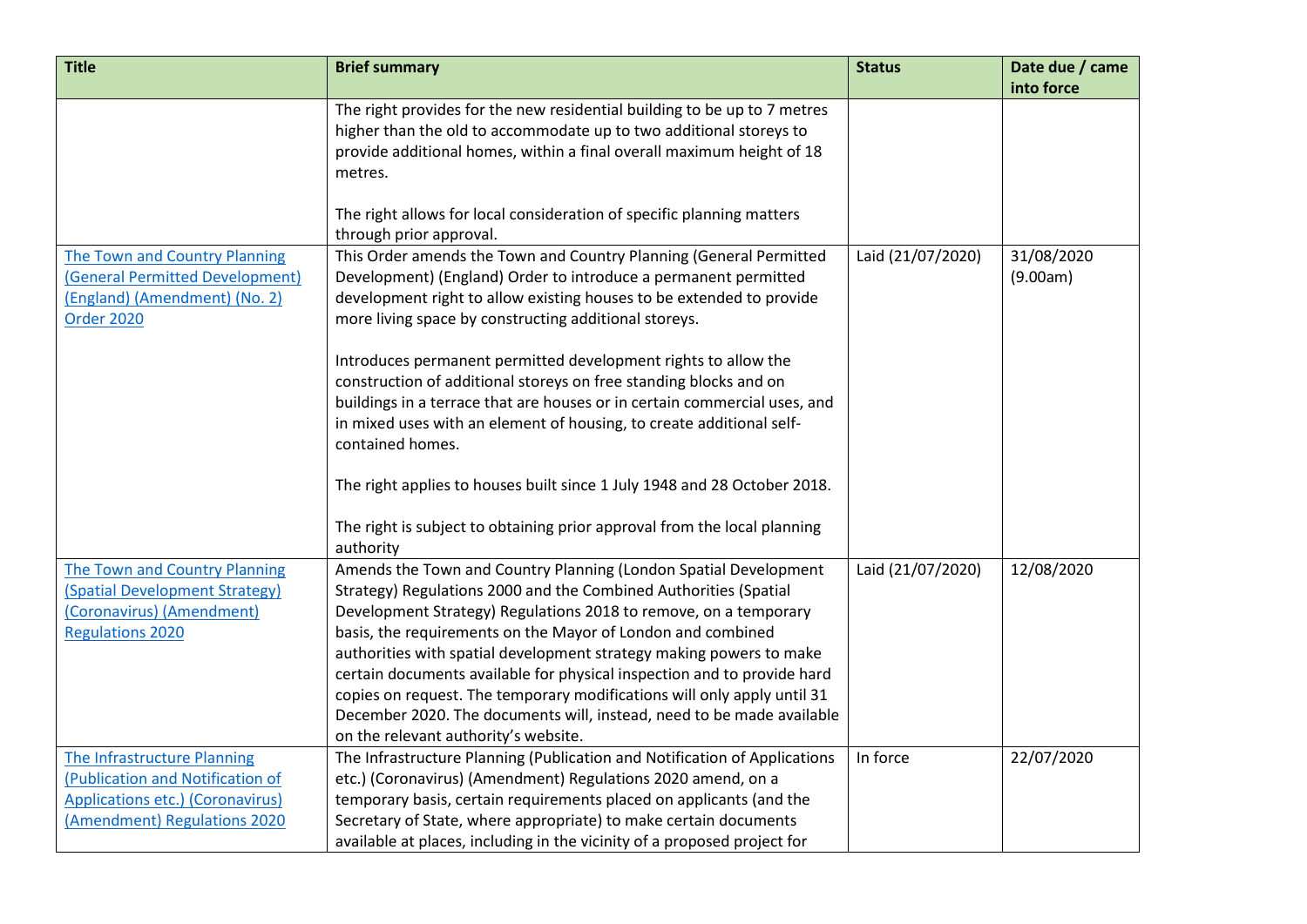| <b>Title</b>                         | <b>Brief summary</b>                                                      | <b>Status</b>     | Date due / came |
|--------------------------------------|---------------------------------------------------------------------------|-------------------|-----------------|
|                                      |                                                                           |                   | into force      |
|                                      | The right provides for the new residential building to be up to 7 metres  |                   |                 |
|                                      | higher than the old to accommodate up to two additional storeys to        |                   |                 |
|                                      | provide additional homes, within a final overall maximum height of 18     |                   |                 |
|                                      | metres.                                                                   |                   |                 |
|                                      |                                                                           |                   |                 |
|                                      | The right allows for local consideration of specific planning matters     |                   |                 |
|                                      | through prior approval.                                                   |                   |                 |
| The Town and Country Planning        | This Order amends the Town and Country Planning (General Permitted        | Laid (21/07/2020) | 31/08/2020      |
| (General Permitted Development)      | Development) (England) Order to introduce a permanent permitted           |                   | (9.00am)        |
| (England) (Amendment) (No. 2)        | development right to allow existing houses to be extended to provide      |                   |                 |
| <b>Order 2020</b>                    | more living space by constructing additional storeys.                     |                   |                 |
|                                      | Introduces permanent permitted development rights to allow the            |                   |                 |
|                                      | construction of additional storeys on free standing blocks and on         |                   |                 |
|                                      | buildings in a terrace that are houses or in certain commercial uses, and |                   |                 |
|                                      | in mixed uses with an element of housing, to create additional self-      |                   |                 |
|                                      | contained homes.                                                          |                   |                 |
|                                      |                                                                           |                   |                 |
|                                      | The right applies to houses built since 1 July 1948 and 28 October 2018.  |                   |                 |
|                                      | The right is subject to obtaining prior approval from the local planning  |                   |                 |
|                                      | authority                                                                 |                   |                 |
| <b>The Town and Country Planning</b> | Amends the Town and Country Planning (London Spatial Development          | Laid (21/07/2020) | 12/08/2020      |
| (Spatial Development Strategy)       | Strategy) Regulations 2000 and the Combined Authorities (Spatial          |                   |                 |
| (Coronavirus) (Amendment)            | Development Strategy) Regulations 2018 to remove, on a temporary          |                   |                 |
| <b>Regulations 2020</b>              | basis, the requirements on the Mayor of London and combined               |                   |                 |
|                                      | authorities with spatial development strategy making powers to make       |                   |                 |
|                                      | certain documents available for physical inspection and to provide hard   |                   |                 |
|                                      | copies on request. The temporary modifications will only apply until 31   |                   |                 |
|                                      | December 2020. The documents will, instead, need to be made available     |                   |                 |
|                                      | on the relevant authority's website.                                      |                   |                 |
| <b>The Infrastructure Planning</b>   | The Infrastructure Planning (Publication and Notification of Applications | In force          | 22/07/2020      |
| (Publication and Notification of     | etc.) (Coronavirus) (Amendment) Regulations 2020 amend, on a              |                   |                 |
| Applications etc.) (Coronavirus)     | temporary basis, certain requirements placed on applicants (and the       |                   |                 |
| (Amendment) Regulations 2020         | Secretary of State, where appropriate) to make certain documents          |                   |                 |
|                                      | available at places, including in the vicinity of a proposed project for  |                   |                 |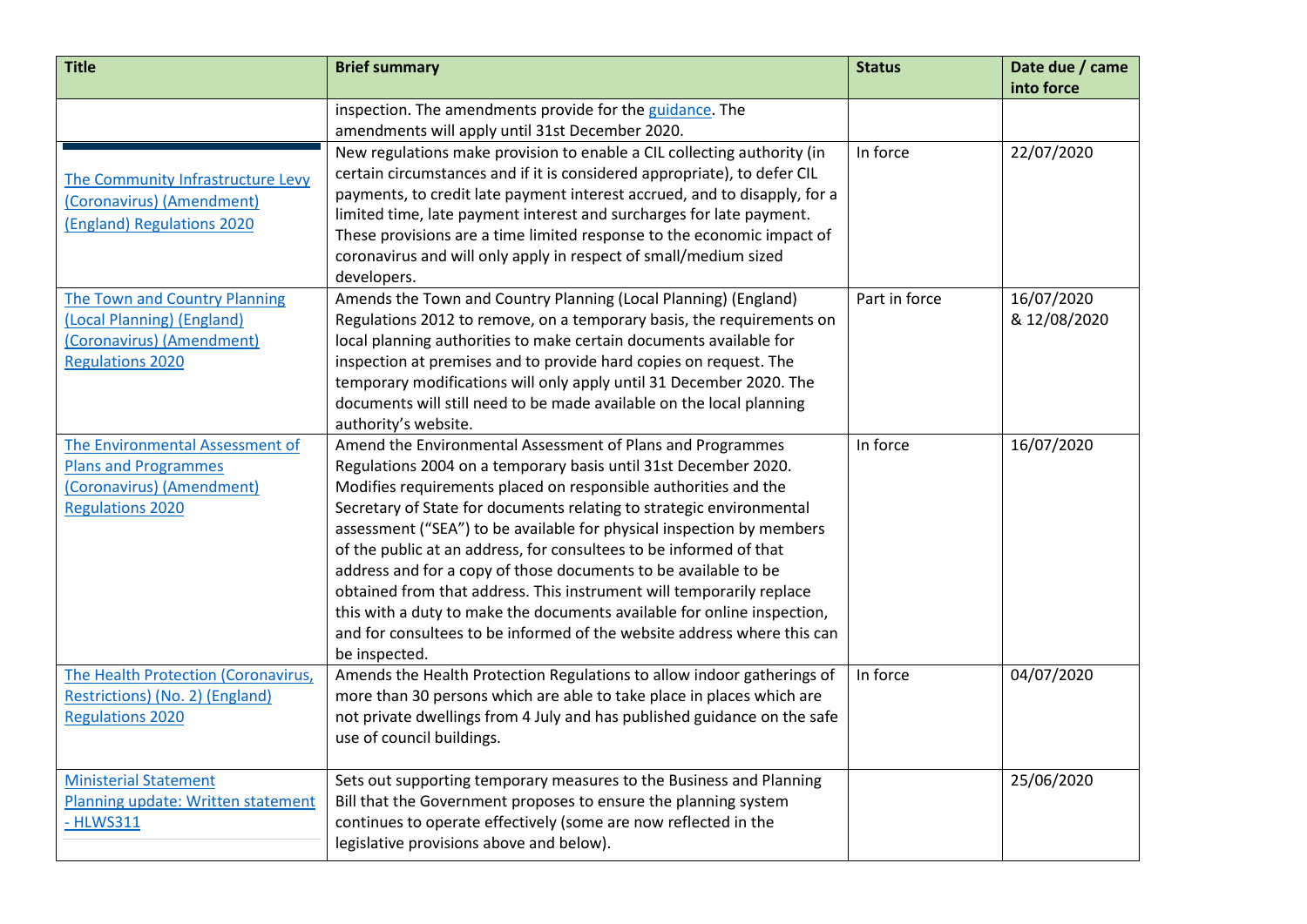| <b>Title</b>                                                                                                           | <b>Brief summary</b>                                                                                                                                                                                                                                                                                                                                                                                                                                                                                                                                                                                                                                                                                                                      | <b>Status</b> | Date due / came<br>into force |
|------------------------------------------------------------------------------------------------------------------------|-------------------------------------------------------------------------------------------------------------------------------------------------------------------------------------------------------------------------------------------------------------------------------------------------------------------------------------------------------------------------------------------------------------------------------------------------------------------------------------------------------------------------------------------------------------------------------------------------------------------------------------------------------------------------------------------------------------------------------------------|---------------|-------------------------------|
|                                                                                                                        | inspection. The amendments provide for the guidance. The<br>amendments will apply until 31st December 2020.                                                                                                                                                                                                                                                                                                                                                                                                                                                                                                                                                                                                                               |               |                               |
| The Community Infrastructure Levy<br>(Coronavirus) (Amendment)<br>(England) Regulations 2020                           | New regulations make provision to enable a CIL collecting authority (in<br>certain circumstances and if it is considered appropriate), to defer CIL<br>payments, to credit late payment interest accrued, and to disapply, for a<br>limited time, late payment interest and surcharges for late payment.<br>These provisions are a time limited response to the economic impact of<br>coronavirus and will only apply in respect of small/medium sized<br>developers.                                                                                                                                                                                                                                                                     | In force      | 22/07/2020                    |
| The Town and Country Planning<br>(Local Planning) (England)<br>(Coronavirus) (Amendment)<br><b>Regulations 2020</b>    | Amends the Town and Country Planning (Local Planning) (England)<br>Regulations 2012 to remove, on a temporary basis, the requirements on<br>local planning authorities to make certain documents available for<br>inspection at premises and to provide hard copies on request. The<br>temporary modifications will only apply until 31 December 2020. The<br>documents will still need to be made available on the local planning<br>authority's website.                                                                                                                                                                                                                                                                                | Part in force | 16/07/2020<br>& 12/08/2020    |
| The Environmental Assessment of<br><b>Plans and Programmes</b><br>(Coronavirus) (Amendment)<br><b>Regulations 2020</b> | Amend the Environmental Assessment of Plans and Programmes<br>Regulations 2004 on a temporary basis until 31st December 2020.<br>Modifies requirements placed on responsible authorities and the<br>Secretary of State for documents relating to strategic environmental<br>assessment ("SEA") to be available for physical inspection by members<br>of the public at an address, for consultees to be informed of that<br>address and for a copy of those documents to be available to be<br>obtained from that address. This instrument will temporarily replace<br>this with a duty to make the documents available for online inspection,<br>and for consultees to be informed of the website address where this can<br>be inspected. | In force      | 16/07/2020                    |
| The Health Protection (Coronavirus,<br>Restrictions) (No. 2) (England)<br><b>Regulations 2020</b>                      | Amends the Health Protection Regulations to allow indoor gatherings of<br>more than 30 persons which are able to take place in places which are<br>not private dwellings from 4 July and has published guidance on the safe<br>use of council buildings.                                                                                                                                                                                                                                                                                                                                                                                                                                                                                  | In force      | 04/07/2020                    |
| <b>Ministerial Statement</b><br>Planning update: Written statement<br>- HLWS311                                        | Sets out supporting temporary measures to the Business and Planning<br>Bill that the Government proposes to ensure the planning system<br>continues to operate effectively (some are now reflected in the<br>legislative provisions above and below).                                                                                                                                                                                                                                                                                                                                                                                                                                                                                     |               | 25/06/2020                    |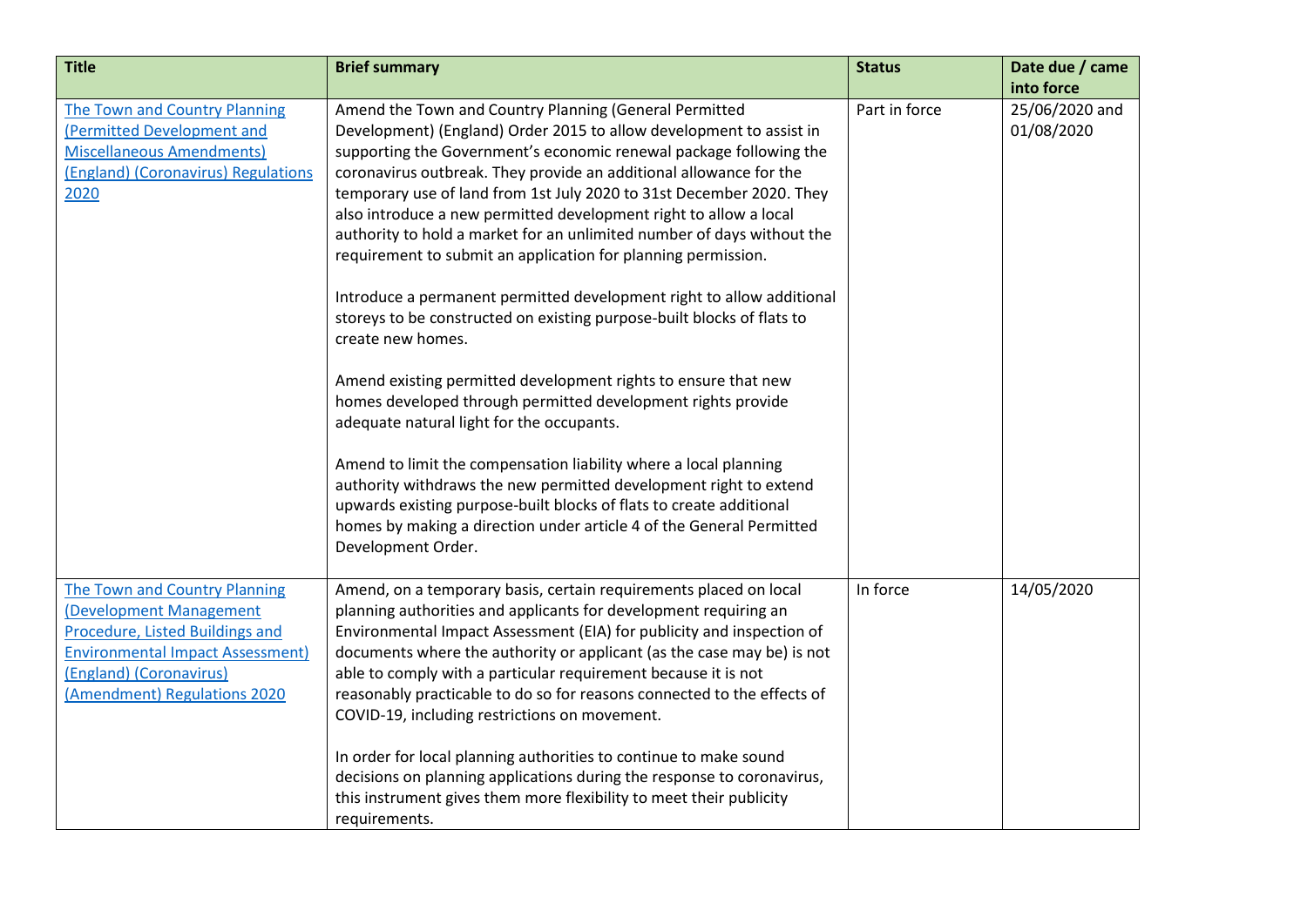| <b>Title</b>                            | <b>Brief summary</b>                                                    | <b>Status</b> | Date due / came |
|-----------------------------------------|-------------------------------------------------------------------------|---------------|-----------------|
|                                         |                                                                         |               | into force      |
| The Town and Country Planning           | Amend the Town and Country Planning (General Permitted                  | Part in force | 25/06/2020 and  |
| (Permitted Development and              | Development) (England) Order 2015 to allow development to assist in     |               | 01/08/2020      |
| <b>Miscellaneous Amendments)</b>        | supporting the Government's economic renewal package following the      |               |                 |
| (England) (Coronavirus) Regulations     | coronavirus outbreak. They provide an additional allowance for the      |               |                 |
| 2020                                    | temporary use of land from 1st July 2020 to 31st December 2020. They    |               |                 |
|                                         | also introduce a new permitted development right to allow a local       |               |                 |
|                                         | authority to hold a market for an unlimited number of days without the  |               |                 |
|                                         | requirement to submit an application for planning permission.           |               |                 |
|                                         | Introduce a permanent permitted development right to allow additional   |               |                 |
|                                         | storeys to be constructed on existing purpose-built blocks of flats to  |               |                 |
|                                         | create new homes.                                                       |               |                 |
|                                         |                                                                         |               |                 |
|                                         | Amend existing permitted development rights to ensure that new          |               |                 |
|                                         | homes developed through permitted development rights provide            |               |                 |
|                                         | adequate natural light for the occupants.                               |               |                 |
|                                         |                                                                         |               |                 |
|                                         | Amend to limit the compensation liability where a local planning        |               |                 |
|                                         | authority withdraws the new permitted development right to extend       |               |                 |
|                                         | upwards existing purpose-built blocks of flats to create additional     |               |                 |
|                                         | homes by making a direction under article 4 of the General Permitted    |               |                 |
|                                         | Development Order.                                                      |               |                 |
|                                         |                                                                         |               |                 |
| The Town and Country Planning           | Amend, on a temporary basis, certain requirements placed on local       | In force      | 14/05/2020      |
| (Development Management                 | planning authorities and applicants for development requiring an        |               |                 |
| <b>Procedure, Listed Buildings and</b>  | Environmental Impact Assessment (EIA) for publicity and inspection of   |               |                 |
| <b>Environmental Impact Assessment)</b> | documents where the authority or applicant (as the case may be) is not  |               |                 |
| (England) (Coronavirus)                 | able to comply with a particular requirement because it is not          |               |                 |
| (Amendment) Regulations 2020            | reasonably practicable to do so for reasons connected to the effects of |               |                 |
|                                         | COVID-19, including restrictions on movement.                           |               |                 |
|                                         | In order for local planning authorities to continue to make sound       |               |                 |
|                                         | decisions on planning applications during the response to coronavirus,  |               |                 |
|                                         | this instrument gives them more flexibility to meet their publicity     |               |                 |
|                                         | requirements.                                                           |               |                 |